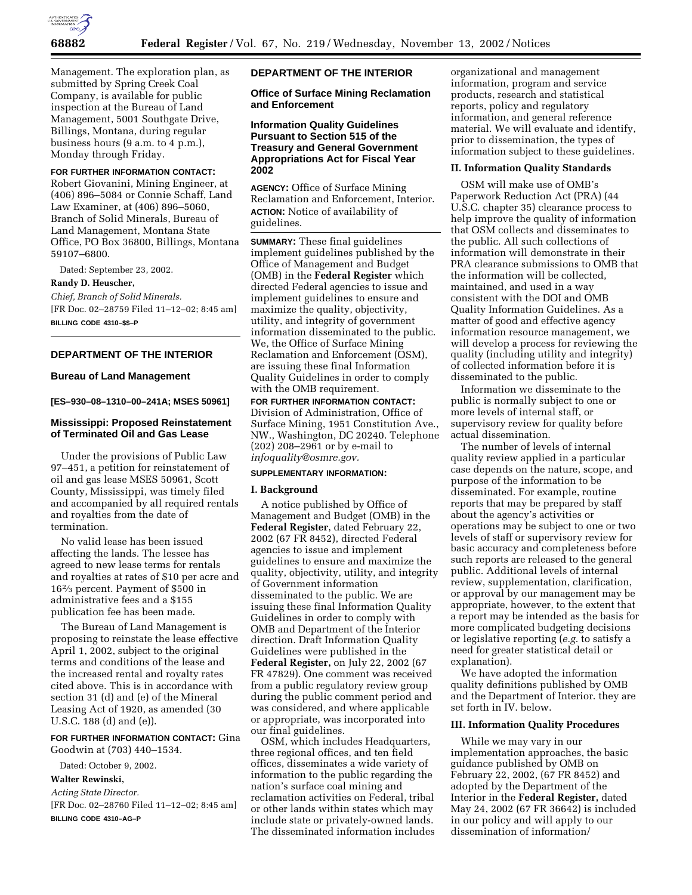

Management. The exploration plan, as submitted by Spring Creek Coal Company, is available for public inspection at the Bureau of Land Management, 5001 Southgate Drive, Billings, Montana, during regular business hours (9 a.m. to 4 p.m.), Monday through Friday.

#### **FOR FURTHER INFORMATION CONTACT:**

Robert Giovanini, Mining Engineer, at (406) 896–5084 or Connie Schaff, Land Law Examiner, at (406) 896–5060, Branch of Solid Minerals, Bureau of Land Management, Montana State Office, PO Box 36800, Billings, Montana 59107–6800.

Dated: September 23, 2002.

#### **Randy D. Heuscher,**

*Chief, Branch of Solid Minerals.* [FR Doc. 02–28759 Filed 11–12–02; 8:45 am] **BILLING CODE 4310–\$\$–P**

# **DEPARTMENT OF THE INTERIOR**

## **Bureau of Land Management**

#### **[ES–930–08–1310–00–241A; MSES 50961]**

## **Mississippi: Proposed Reinstatement of Terminated Oil and Gas Lease**

Under the provisions of Public Law 97–451, a petition for reinstatement of oil and gas lease MSES 50961, Scott County, Mississippi, was timely filed and accompanied by all required rentals and royalties from the date of termination.

No valid lease has been issued affecting the lands. The lessee has agreed to new lease terms for rentals and royalties at rates of \$10 per acre and 162⁄3 percent. Payment of \$500 in administrative fees and a \$155 publication fee has been made.

The Bureau of Land Management is proposing to reinstate the lease effective April 1, 2002, subject to the original terms and conditions of the lease and the increased rental and royalty rates cited above. This is in accordance with section 31 (d) and (e) of the Mineral Leasing Act of 1920, as amended (30 U.S.C. 188 (d) and (e)).

**FOR FURTHER INFORMATION CONTACT:** Gina Goodwin at (703) 440–1534.

Dated: October 9, 2002.

#### **Walter Rewinski,**

*Acting State Director.*

[FR Doc. 02–28760 Filed 11–12–02; 8:45 am] **BILLING CODE 4310–AG–P**

#### **DEPARTMENT OF THE INTERIOR**

#### **Office of Surface Mining Reclamation and Enforcement**

## **Information Quality Guidelines Pursuant to Section 515 of the Treasury and General Government Appropriations Act for Fiscal Year 2002**

**AGENCY:** Office of Surface Mining Reclamation and Enforcement, Interior. **ACTION:** Notice of availability of guidelines.

**SUMMARY:** These final guidelines implement guidelines published by the Office of Management and Budget (OMB) in the **Federal Register** which directed Federal agencies to issue and implement guidelines to ensure and maximize the quality, objectivity, utility, and integrity of government information disseminated to the public. We, the Office of Surface Mining Reclamation and Enforcement (OSM), are issuing these final Information Quality Guidelines in order to comply with the OMB requirement.

## **FOR FURTHER INFORMATION CONTACT:** Division of Administration, Office of Surface Mining, 1951 Constitution Ave., NW., Washington, DC 20240. Telephone

(202) 208–2961 or by e-mail to *infoquality@osmre.gov.*

## **SUPPLEMENTARY INFORMATION:**

#### **I. Background**

A notice published by Office of Management and Budget (OMB) in the **Federal Register**, dated February 22, 2002 (67 FR 8452), directed Federal agencies to issue and implement guidelines to ensure and maximize the quality, objectivity, utility, and integrity of Government information disseminated to the public. We are issuing these final Information Quality Guidelines in order to comply with OMB and Department of the Interior direction. Draft Information Quality Guidelines were published in the **Federal Register,** on July 22, 2002 (67 FR 47829). One comment was received from a public regulatory review group during the public comment period and was considered, and where applicable or appropriate, was incorporated into our final guidelines.

OSM, which includes Headquarters, three regional offices, and ten field offices, disseminates a wide variety of information to the public regarding the nation's surface coal mining and reclamation activities on Federal, tribal or other lands within states which may include state or privately-owned lands. The disseminated information includes

organizational and management information, program and service products, research and statistical reports, policy and regulatory information, and general reference material. We will evaluate and identify, prior to dissemination, the types of information subject to these guidelines.

#### **II. Information Quality Standards**

OSM will make use of OMB's Paperwork Reduction Act (PRA) (44 U.S.C. chapter 35) clearance process to help improve the quality of information that OSM collects and disseminates to the public. All such collections of information will demonstrate in their PRA clearance submissions to OMB that the information will be collected, maintained, and used in a way consistent with the DOI and OMB Quality Information Guidelines. As a matter of good and effective agency information resource management, we will develop a process for reviewing the quality (including utility and integrity) of collected information before it is disseminated to the public.

Information we disseminate to the public is normally subject to one or more levels of internal staff, or supervisory review for quality before actual dissemination.

The number of levels of internal quality review applied in a particular case depends on the nature, scope, and purpose of the information to be disseminated. For example, routine reports that may be prepared by staff about the agency's activities or operations may be subject to one or two levels of staff or supervisory review for basic accuracy and completeness before such reports are released to the general public. Additional levels of internal review, supplementation, clarification, or approval by our management may be appropriate, however, to the extent that a report may be intended as the basis for more complicated budgeting decisions or legislative reporting (*e.g.* to satisfy a need for greater statistical detail or explanation).

We have adopted the information quality definitions published by OMB and the Department of Interior. they are set forth in IV. below.

#### **III. Information Quality Procedures**

While we may vary in our implementation approaches, the basic guidance published by OMB on February 22, 2002, (67 FR 8452) and adopted by the Department of the Interior in the **Federal Register,** dated May 24, 2002 (67 FR 36642) is included in our policy and will apply to our dissemination of information/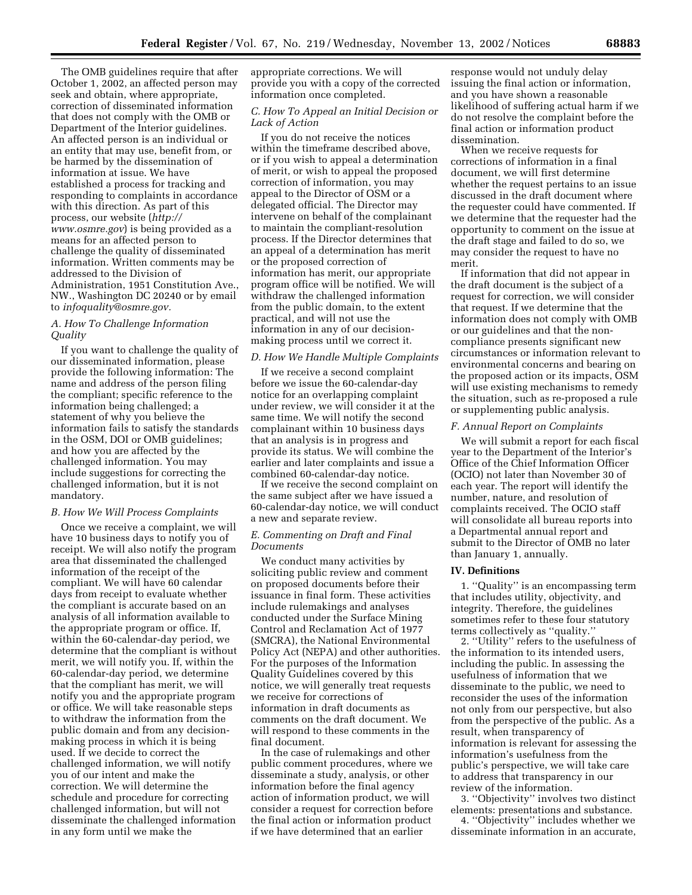The OMB guidelines require that after October 1, 2002, an affected person may seek and obtain, where appropriate, correction of disseminated information that does not comply with the OMB or Department of the Interior guidelines. An affected person is an individual or an entity that may use, benefit from, or be harmed by the dissemination of information at issue. We have established a process for tracking and responding to complaints in accordance with this direction. As part of this process, our website (*http:// www.osmre.gov*) is being provided as a means for an affected person to challenge the quality of disseminated information. Written comments may be addressed to the Division of Administration, 1951 Constitution Ave., NW., Washington DC 20240 or by email to *infoquality@osmre.gov.*

## *A. How To Challenge Information Quality*

If you want to challenge the quality of our disseminated information, please provide the following information: The name and address of the person filing the compliant; specific reference to the information being challenged; a statement of why you believe the information fails to satisfy the standards in the OSM, DOI or OMB guidelines; and how you are affected by the challenged information. You may include suggestions for correcting the challenged information, but it is not mandatory.

#### *B. How We Will Process Complaints*

Once we receive a complaint, we will have 10 business days to notify you of receipt. We will also notify the program area that disseminated the challenged information of the receipt of the compliant. We will have 60 calendar days from receipt to evaluate whether the compliant is accurate based on an analysis of all information available to the appropriate program or office. If, within the 60-calendar-day period, we determine that the compliant is without merit, we will notify you. If, within the 60-calendar-day period, we determine that the compliant has merit, we will notify you and the appropriate program or office. We will take reasonable steps to withdraw the information from the public domain and from any decisionmaking process in which it is being used. If we decide to correct the challenged information, we will notify you of our intent and make the correction. We will determine the schedule and procedure for correcting challenged information, but will not disseminate the challenged information in any form until we make the

appropriate corrections. We will provide you with a copy of the corrected information once completed.

## *C. How To Appeal an Initial Decision or Lack of Action*

If you do not receive the notices within the timeframe described above, or if you wish to appeal a determination of merit, or wish to appeal the proposed correction of information, you may appeal to the Director of OSM or a delegated official. The Director may intervene on behalf of the complainant to maintain the compliant-resolution process. If the Director determines that an appeal of a determination has merit or the proposed correction of information has merit, our appropriate program office will be notified. We will withdraw the challenged information from the public domain, to the extent practical, and will not use the information in any of our decisionmaking process until we correct it.

#### *D. How We Handle Multiple Complaints*

If we receive a second complaint before we issue the 60-calendar-day notice for an overlapping complaint under review, we will consider it at the same time. We will notify the second complainant within 10 business days that an analysis is in progress and provide its status. We will combine the earlier and later complaints and issue a combined 60-calendar-day notice.

If we receive the second complaint on the same subject after we have issued a 60-calendar-day notice, we will conduct a new and separate review.

## *E. Commenting on Draft and Final Documents*

We conduct many activities by soliciting public review and comment on proposed documents before their issuance in final form. These activities include rulemakings and analyses conducted under the Surface Mining Control and Reclamation Act of 1977 (SMCRA), the National Environmental Policy Act (NEPA) and other authorities. For the purposes of the Information Quality Guidelines covered by this notice, we will generally treat requests we receive for corrections of information in draft documents as comments on the draft document. We will respond to these comments in the final document.

In the case of rulemakings and other public comment procedures, where we disseminate a study, analysis, or other information before the final agency action of information product, we will consider a request for correction before the final action or information product if we have determined that an earlier

response would not unduly delay issuing the final action or information, and you have shown a reasonable likelihood of suffering actual harm if we do not resolve the complaint before the final action or information product dissemination.

When we receive requests for corrections of information in a final document, we will first determine whether the request pertains to an issue discussed in the draft document where the requester could have commented. If we determine that the requester had the opportunity to comment on the issue at the draft stage and failed to do so, we may consider the request to have no merit.

If information that did not appear in the draft document is the subject of a request for correction, we will consider that request. If we determine that the information does not comply with OMB or our guidelines and that the noncompliance presents significant new circumstances or information relevant to environmental concerns and bearing on the proposed action or its impacts, OSM will use existing mechanisms to remedy the situation, such as re-proposed a rule or supplementing public analysis.

#### *F. Annual Report on Complaints*

We will submit a report for each fiscal year to the Department of the Interior's Office of the Chief Information Officer (OCIO) not later than November 30 of each year. The report will identify the number, nature, and resolution of complaints received. The OCIO staff will consolidate all bureau reports into a Departmental annual report and submit to the Director of OMB no later than January 1, annually.

#### **IV. Definitions**

1. ''Quality'' is an encompassing term that includes utility, objectivity, and integrity. Therefore, the guidelines sometimes refer to these four statutory terms collectively as ''quality.''

2. ''Utility'' refers to the usefulness of the information to its intended users, including the public. In assessing the usefulness of information that we disseminate to the public, we need to reconsider the uses of the information not only from our perspective, but also from the perspective of the public. As a result, when transparency of information is relevant for assessing the information's usefulness from the public's perspective, we will take care to address that transparency in our review of the information.

3. ''Objectivity'' involves two distinct elements: presentations and substance.

4. ''Objectivity'' includes whether we disseminate information in an accurate,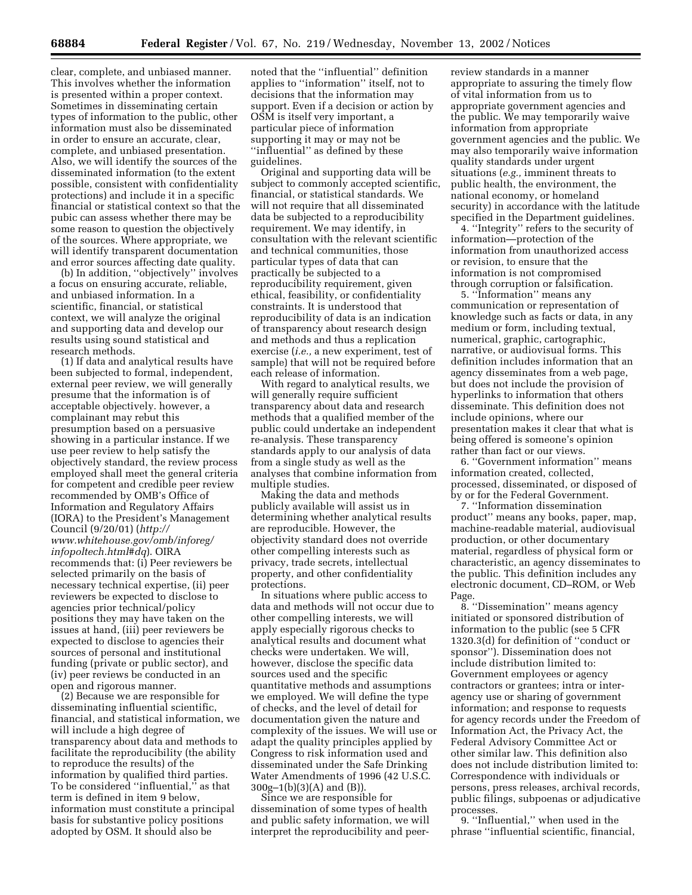clear, complete, and unbiased manner. This involves whether the information is presented within a proper context. Sometimes in disseminating certain types of information to the public, other information must also be disseminated in order to ensure an accurate, clear, complete, and unbiased presentation. Also, we will identify the sources of the disseminated information (to the extent possible, consistent with confidentiality protections) and include it in a specific financial or statistical context so that the pubic can assess whether there may be some reason to question the objectively of the sources. Where appropriate, we will identify transparent documentation and error sources affecting date quality.

(b) In addition, ''objectively'' involves a focus on ensuring accurate, reliable, and unbiased information. In a scientific, financial, or statistical context, we will analyze the original and supporting data and develop our results using sound statistical and research methods.

(1) If data and analytical results have been subjected to formal, independent, external peer review, we will generally presume that the information is of acceptable objectively. however, a complainant may rebut this presumption based on a persuasive showing in a particular instance. If we use peer review to help satisfy the objectively standard, the review process employed shall meet the general criteria for competent and credible peer review recommended by OMB's Office of Information and Regulatory Affairs (IORA) to the President's Management Council (9/20/01) (*http:// www.whitehouse.gov/omb/inforeg/ infopoltech.html#dq*). OIRA recommends that: (i) Peer reviewers be selected primarily on the basis of necessary technical expertise, (ii) peer reviewers be expected to disclose to agencies prior technical/policy positions they may have taken on the issues at hand, (iii) peer reviewers be expected to disclose to agencies their sources of personal and institutional funding (private or public sector), and (iv) peer reviews be conducted in an open and rigorous manner.

(2) Because we are responsible for disseminating influential scientific, financial, and statistical information, we will include a high degree of transparency about data and methods to facilitate the reproducibility (the ability to reproduce the results) of the information by qualified third parties. To be considered ''influential,'' as that term is defined in item 9 below, information must constitute a principal basis for substantive policy positions adopted by OSM. It should also be

noted that the ''influential'' definition applies to ''information'' itself, not to decisions that the information may support. Even if a decision or action by OSM is itself very important, a particular piece of information supporting it may or may not be ''influential'' as defined by these guidelines.

Original and supporting data will be subject to commonly accepted scientific, financial, or statistical standards. We will not require that all disseminated data be subjected to a reproducibility requirement. We may identify, in consultation with the relevant scientific and technical communities, those particular types of data that can practically be subjected to a reproducibility requirement, given ethical, feasibility, or confidentiality constraints. It is understood that reproducibility of data is an indication of transparency about research design and methods and thus a replication exercise (*i.e.,* a new experiment, test of sample) that will not be required before each release of information.

With regard to analytical results, we will generally require sufficient transparency about data and research methods that a qualified member of the public could undertake an independent re-analysis. These transparency standards apply to our analysis of data from a single study as well as the analyses that combine information from multiple studies.

Making the data and methods publicly available will assist us in determining whether analytical results are reproducible. However, the objectivity standard does not override other compelling interests such as privacy, trade secrets, intellectual property, and other confidentiality protections.

In situations where public access to data and methods will not occur due to other compelling interests, we will apply especially rigorous checks to analytical results and document what checks were undertaken. We will, however, disclose the specific data sources used and the specific quantitative methods and assumptions we employed. We will define the type of checks, and the level of detail for documentation given the nature and complexity of the issues. We will use or adapt the quality principles applied by Congress to risk information used and disseminated under the Safe Drinking Water Amendments of 1996 (42 U.S.C.  $300g-1(b)(3)(A)$  and  $(B)$ .

Since we are responsible for dissemination of some types of health and public safety information, we will interpret the reproducibility and peerreview standards in a manner appropriate to assuring the timely flow of vital information from us to appropriate government agencies and the public. We may temporarily waive information from appropriate government agencies and the public. We may also temporarily waive information quality standards under urgent situations (*e.g.,* imminent threats to public health, the environment, the national economy, or homeland security) in accordance with the latitude specified in the Department guidelines.

4. ''Integrity'' refers to the security of information—protection of the information from unauthorized access or revision, to ensure that the information is not compromised through corruption or falsification.

5. ''Information'' means any communication or representation of knowledge such as facts or data, in any medium or form, including textual, numerical, graphic, cartographic, narrative, or audiovisual forms. This definition includes information that an agency disseminates from a web page, but does not include the provision of hyperlinks to information that others disseminate. This definition does not include opinions, where our presentation makes it clear that what is being offered is someone's opinion rather than fact or our views.

6. ''Government information'' means information created, collected, processed, disseminated, or disposed of by or for the Federal Government.

7. ''Information dissemination product'' means any books, paper, map, machine-readable material, audiovisual production, or other documentary material, regardless of physical form or characteristic, an agency disseminates to the public. This definition includes any electronic document, CD–ROM, or Web Page.

8. ''Dissemination'' means agency initiated or sponsored distribution of information to the public (see 5 CFR 1320.3(d) for definition of ''conduct or sponsor''). Dissemination does not include distribution limited to: Government employees or agency contractors or grantees; intra or interagency use or sharing of government information; and response to requests for agency records under the Freedom of Information Act, the Privacy Act, the Federal Advisory Committee Act or other similar law. This definition also does not include distribution limited to: Correspondence with individuals or persons, press releases, archival records, public filings, subpoenas or adjudicative processes.

9. ''Influential,'' when used in the phrase ''influential scientific, financial,